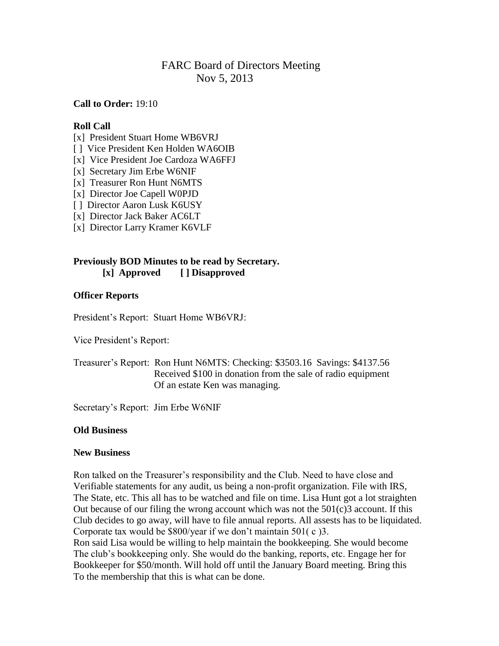# FARC Board of Directors Meeting Nov 5, 2013

**Call to Order:** 19:10

### **Roll Call**

- [x] President Stuart Home WB6VRJ
- [ ] Vice President Ken Holden WA6OIB
- [x] Vice President Joe Cardoza WA6FFJ
- [x] Secretary Jim Erbe W6NIF
- [x] Treasurer Ron Hunt N6MTS
- [x] Director Joe Capell W0PJD
- [ ] Director Aaron Lusk K6USY
- [x] Director Jack Baker AC6LT
- [x] Director Larry Kramer K6VLF

### **Previously BOD Minutes to be read by Secretary. [x] Approved [ ] Disapproved**

## **Officer Reports**

President's Report: Stuart Home WB6VRJ:

Vice President's Report:

Treasurer's Report: Ron Hunt N6MTS: Checking: \$3503.16 Savings: \$4137.56 Received \$100 in donation from the sale of radio equipment Of an estate Ken was managing.

Secretary's Report: Jim Erbe W6NIF

#### **Old Business**

### **New Business**

Ron talked on the Treasurer's responsibility and the Club. Need to have close and Verifiable statements for any audit, us being a non-profit organization. File with IRS, The State, etc. This all has to be watched and file on time. Lisa Hunt got a lot straighten Out because of our filing the wrong account which was not the  $501(c)3$  account. If this Club decides to go away, will have to file annual reports. All assests has to be liquidated. Corporate tax would be \$800/year if we don't maintain 501( c )3. Ron said Lisa would be willing to help maintain the bookkeeping. She would become The club's bookkeeping only. She would do the banking, reports, etc. Engage her for Bookkeeper for \$50/month. Will hold off until the January Board meeting. Bring this To the membership that this is what can be done.